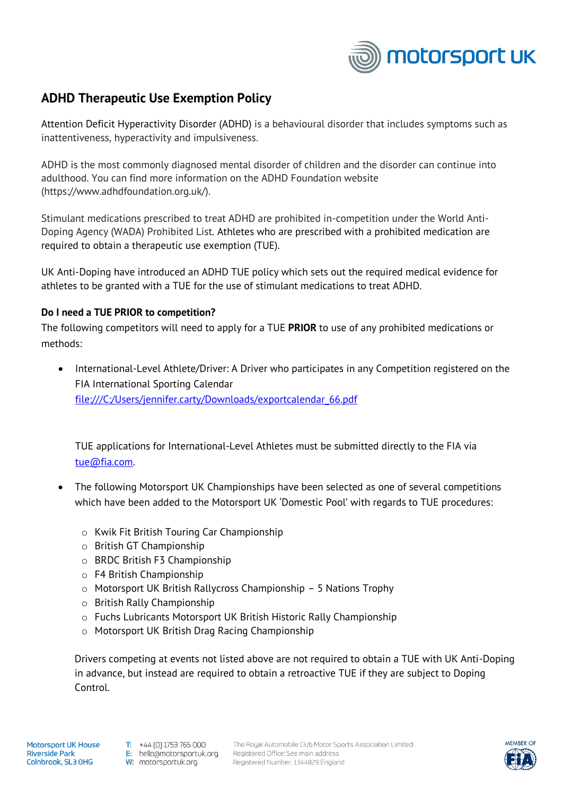

## **ADHD Therapeutic Use Exemption Policy**

Attention Deficit Hyperactivity Disorder (ADHD) is a behavioural disorder that includes symptoms such as inattentiveness, hyperactivity and impulsiveness.

ADHD is the most commonly diagnosed mental disorder of children and the disorder can continue into adulthood. You can find more information on the ADHD Foundation website (https://www.adhdfoundation.org.uk/).

Stimulant medications prescribed to treat ADHD are prohibited in-competition under the World Anti-Doping Agency (WADA) Prohibited List. Athletes who are prescribed with a prohibited medication are required to obtain a therapeutic use exemption (TUE).

UK Anti-Doping have introduced an ADHD TUE policy which sets out the required medical evidence for athletes to be granted with a TUE for the use of stimulant medications to treat ADHD.

## **Do I need a TUE PRIOR to competition?**

The following competitors will need to apply for a TUE **PRIOR** to use of any prohibited medications or methods:

• International-Level Athlete/Driver: A Driver who participates in any Competition registered on the FIA International Sporting Calendar [file:///C:/Users/jennifer.carty/Downloads/exportcalendar\\_66.pdf](file:///C:/Users/jennifer.carty/Downloads/exportcalendar_66.pdf)

TUE applications for International-Level Athletes must be submitted directly to the FIA via [tue@fia.com.](mailto:tue@fia.com)

- The following Motorsport UK Championships have been selected as one of several competitions which have been added to the Motorsport UK 'Domestic Pool' with regards to TUE procedures:
	- o Kwik Fit British Touring Car Championship
	- o British GT Championship
	- o BRDC British F3 Championship
	- o F4 British Championship
	- o Motorsport UK British Rallycross Championship 5 Nations Trophy
	- o British Rally Championship
	- o Fuchs Lubricants Motorsport UK British Historic Rally Championship
	- o Motorsport UK British Drag Racing Championship

Drivers competing at events not listed above are not required to obtain a TUE with UK Anti-Doping in advance, but instead are required to obtain a retroactive TUE if they are subject to Doping Control.